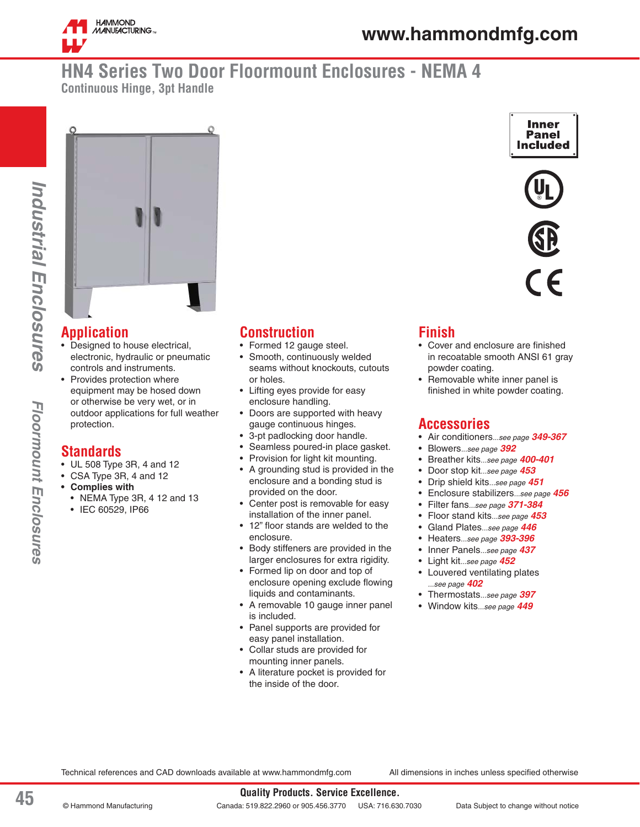

**Inner** Panel **Included** 

# **HN4 Series Two Door Floormount Enclosures - NEMA 4 Continuous Hinge, 3pt Handle**





#### **Application**

- Designed to house electrical, electronic, hydraulic or pneumatic controls and instruments.
- Provides protection where equipment may be hosed down or otherwise be very wet, or in outdoor applications for full weather protection.

#### **Standards**

- UL 508 Type 3R, 4 and 12
- CSA Type 3R, 4 and 12
- **Complies with**
	- NEMA Type 3R, 4 12 and 13
	- IEC 60529, IP66

### **Construction**

- Formed 12 gauge steel.
- Smooth, continuously welded seams without knockouts, cutouts or holes.
- Lifting eyes provide for easy enclosure handling.
- Doors are supported with heavy gauge continuous hinges.
- 3-pt padlocking door handle.
- Seamless poured-in place gasket.
- Provision for light kit mounting.
- A grounding stud is provided in the enclosure and a bonding stud is provided on the door.
- Center post is removable for easy installation of the inner panel.
- 12" floor stands are welded to the enclosure.
- Body stiffeners are provided in the larger enclosures for extra rigidity.
- Formed lip on door and top of enclosure opening exclude flowing liquids and contaminants.
- A removable 10 gauge inner panel is included.
- Panel supports are provided for easy panel installation.
- Collar studs are provided for mounting inner panels.
- A literature pocket is provided for the inside of the door.

## **Finish**

- Cover and enclosure are finished in recoatable smooth ANSI 61 gray powder coating.
- Removable white inner panel is finished in white powder coating.

#### **Accessories**

- Air conditioners*...see page 349-367*
- Blowers*...see page 392*
- Breather kits*...see page 400-401*
- Door stop kit*...see page 453*
- Drip shield kits*...see page 451*
- Enclosure stabilizers*...see page 456*
- Filter fans*...see page 371-384*
- Floor stand kits*...see page 453*
- Gland Plates*...see page 446*
- Heaters*...see page 393-396*
- Inner Panels*...see page 437*
- Light kit*...see page 452*
- Louvered ventilating plates *...see page 402*
- Thermostats*...see page 397*
- Window kits*...see page 449*